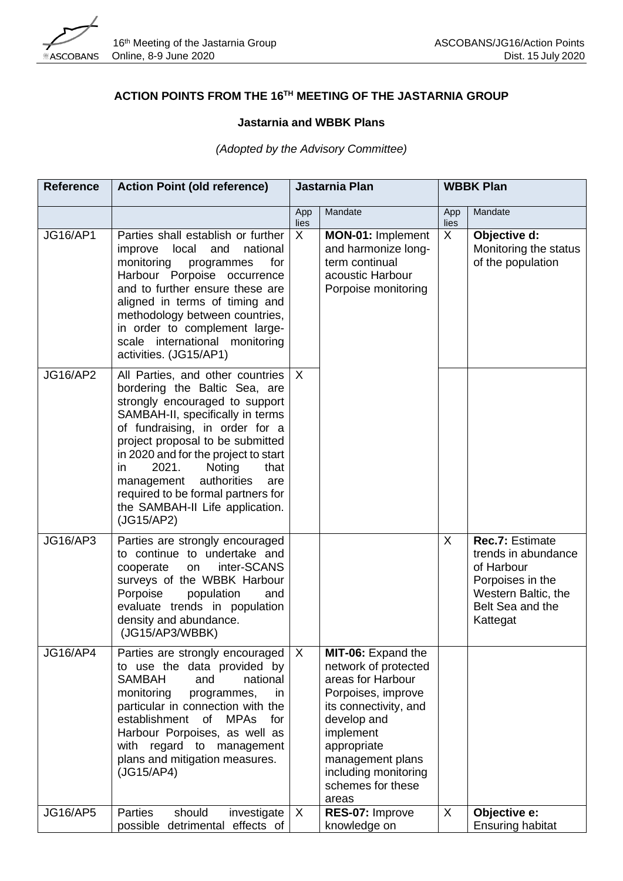

## **ACTION POINTS FROM THE 16TH MEETING OF THE JASTARNIA GROUP**

## **Jastarnia and WBBK Plans**

## *(Adopted by the Advisory Committee)*

| <b>Reference</b> | <b>Action Point (old reference)</b>                                                                                                                                                                                                                                                                                                                                                                               | Jastarnia Plan |                                                                                                                                                                                                                                     | <b>WBBK Plan</b>          |                                                                                                                                 |
|------------------|-------------------------------------------------------------------------------------------------------------------------------------------------------------------------------------------------------------------------------------------------------------------------------------------------------------------------------------------------------------------------------------------------------------------|----------------|-------------------------------------------------------------------------------------------------------------------------------------------------------------------------------------------------------------------------------------|---------------------------|---------------------------------------------------------------------------------------------------------------------------------|
|                  |                                                                                                                                                                                                                                                                                                                                                                                                                   | App<br>lies    | Mandate                                                                                                                                                                                                                             | App<br>lies               | Mandate                                                                                                                         |
| <b>JG16/AP1</b>  | Parties shall establish or further<br>local<br>and<br>national<br>improve<br>monitoring<br>for<br>programmes<br>Harbour Porpoise occurrence<br>and to further ensure these are<br>aligned in terms of timing and<br>methodology between countries,<br>in order to complement large-<br>scale international monitoring<br>activities. (JG15/AP1)                                                                   | X              | MON-01: Implement<br>and harmonize long-<br>term continual<br>acoustic Harbour<br>Porpoise monitoring                                                                                                                               | X                         | Objective d:<br>Monitoring the status<br>of the population                                                                      |
| <b>JG16/AP2</b>  | All Parties, and other countries<br>bordering the Baltic Sea, are<br>strongly encouraged to support<br>SAMBAH-II, specifically in terms<br>of fundraising, in order for a<br>project proposal to be submitted<br>in 2020 and for the project to start<br>2021.<br>Noting<br>that<br>in<br>authorities<br>management<br>are<br>required to be formal partners for<br>the SAMBAH-II Life application.<br>(JG15/AP2) | $\mathsf{X}$   |                                                                                                                                                                                                                                     |                           |                                                                                                                                 |
| <b>JG16/AP3</b>  | Parties are strongly encouraged<br>to continue to undertake and<br>inter-SCANS<br>cooperate<br>on<br>surveys of the WBBK Harbour<br>Porpoise<br>population<br>and<br>evaluate trends in population<br>density and abundance.<br>(JG15/AP3/WBBK)                                                                                                                                                                   |                |                                                                                                                                                                                                                                     | $\boldsymbol{\mathsf{X}}$ | Rec.7: Estimate<br>trends in abundance<br>of Harbour<br>Porpoises in the<br>Western Baltic, the<br>Belt Sea and the<br>Kattegat |
| <b>JG16/AP4</b>  | Parties are strongly encouraged<br>to use the data provided by<br><b>SAMBAH</b><br>national<br>and<br>monitoring<br>programmes,<br>in.<br>particular in connection with the<br>establishment<br>of<br><b>MPAs</b><br>for<br>Harbour Porpoises, as well as<br>with regard to management<br>plans and mitigation measures.<br>(JG15/AP4)                                                                            | $\mathsf{X}$   | MIT-06: Expand the<br>network of protected<br>areas for Harbour<br>Porpoises, improve<br>its connectivity, and<br>develop and<br>implement<br>appropriate<br>management plans<br>including monitoring<br>schemes for these<br>areas |                           |                                                                                                                                 |
| <b>JG16/AP5</b>  | Parties<br>should<br>investigate<br>possible detrimental<br>effects of                                                                                                                                                                                                                                                                                                                                            | $\mathsf{X}$   | RES-07: Improve<br>knowledge on                                                                                                                                                                                                     | X                         | Objective e:<br><b>Ensuring habitat</b>                                                                                         |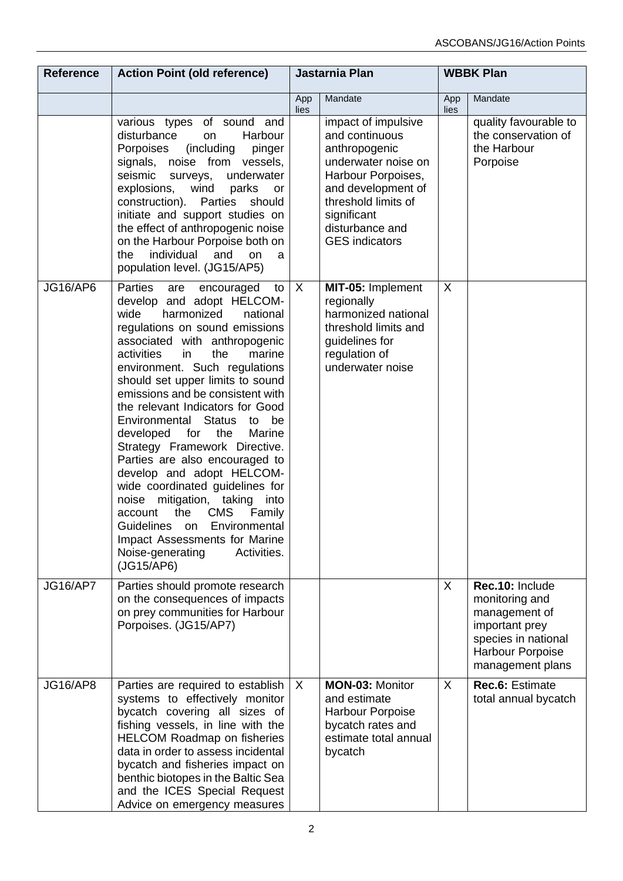| <b>Reference</b> | <b>Action Point (old reference)</b>                                                                                                                                                                                                                                                                                                                                                                                                                                                                                                                                                                                                                                                                                                                                  | Jastarnia Plan |                                                                                                                                                                                                             | <b>WBBK Plan</b> |                                                                                                                                     |
|------------------|----------------------------------------------------------------------------------------------------------------------------------------------------------------------------------------------------------------------------------------------------------------------------------------------------------------------------------------------------------------------------------------------------------------------------------------------------------------------------------------------------------------------------------------------------------------------------------------------------------------------------------------------------------------------------------------------------------------------------------------------------------------------|----------------|-------------------------------------------------------------------------------------------------------------------------------------------------------------------------------------------------------------|------------------|-------------------------------------------------------------------------------------------------------------------------------------|
|                  |                                                                                                                                                                                                                                                                                                                                                                                                                                                                                                                                                                                                                                                                                                                                                                      | App<br>lies    | Mandate                                                                                                                                                                                                     | App<br>lies      | Mandate                                                                                                                             |
|                  | various types of sound and<br>disturbance<br>on<br>Harbour<br>(including<br>Porpoises<br>pinger<br>signals, noise from vessels,<br>seismic<br>underwater<br>surveys,<br>explosions,<br>wind<br>parks<br>or<br>construction).<br>Parties<br>should<br>initiate and support studies on<br>the effect of anthropogenic noise<br>on the Harbour Porpoise both on<br>individual<br>and<br>the<br>on<br>a<br>population level. (JG15/AP5)                                                                                                                                                                                                                                                                                                                                  |                | impact of impulsive<br>and continuous<br>anthropogenic<br>underwater noise on<br>Harbour Porpoises,<br>and development of<br>threshold limits of<br>significant<br>disturbance and<br><b>GES</b> indicators |                  | quality favourable to<br>the conservation of<br>the Harbour<br>Porpoise                                                             |
| <b>JG16/AP6</b>  | Parties<br>are<br>encouraged<br>to<br>develop and adopt HELCOM-<br>wide<br>harmonized<br>national<br>regulations on sound emissions<br>associated with anthropogenic<br>activities<br>in<br>the<br>marine<br>environment. Such regulations<br>should set upper limits to sound<br>emissions and be consistent with<br>the relevant Indicators for Good<br>Environmental Status<br>be<br>to<br>developed for<br>the<br>Marine<br>Strategy Framework Directive.<br>Parties are also encouraged to<br>develop and adopt HELCOM-<br>wide coordinated guidelines for<br>noise mitigation, taking<br>into<br><b>CMS</b><br>the<br>account<br>Family<br>Environmental<br>Guidelines<br>on<br>Impact Assessments for Marine<br>Noise-generating<br>Activities.<br>(JG15/AP6) | $\sf X$        | MIT-05: Implement<br>regionally<br>harmonized national<br>threshold limits and<br>guidelines for<br>regulation of<br>underwater noise                                                                       | $\sf X$          |                                                                                                                                     |
| <b>JG16/AP7</b>  | Parties should promote research<br>on the consequences of impacts<br>on prey communities for Harbour<br>Porpoises. (JG15/AP7)                                                                                                                                                                                                                                                                                                                                                                                                                                                                                                                                                                                                                                        |                |                                                                                                                                                                                                             | X                | Rec.10: Include<br>monitoring and<br>management of<br>important prey<br>species in national<br>Harbour Porpoise<br>management plans |
| <b>JG16/AP8</b>  | Parties are required to establish<br>systems to effectively monitor<br>bycatch covering all sizes of<br>fishing vessels, in line with the<br><b>HELCOM Roadmap on fisheries</b><br>data in order to assess incidental<br>bycatch and fisheries impact on<br>benthic biotopes in the Baltic Sea<br>and the ICES Special Request<br>Advice on emergency measures                                                                                                                                                                                                                                                                                                                                                                                                       | $\sf X$        | <b>MON-03: Monitor</b><br>and estimate<br>Harbour Porpoise<br>bycatch rates and<br>estimate total annual<br>bycatch                                                                                         | $\sf X$          | Rec.6: Estimate<br>total annual bycatch                                                                                             |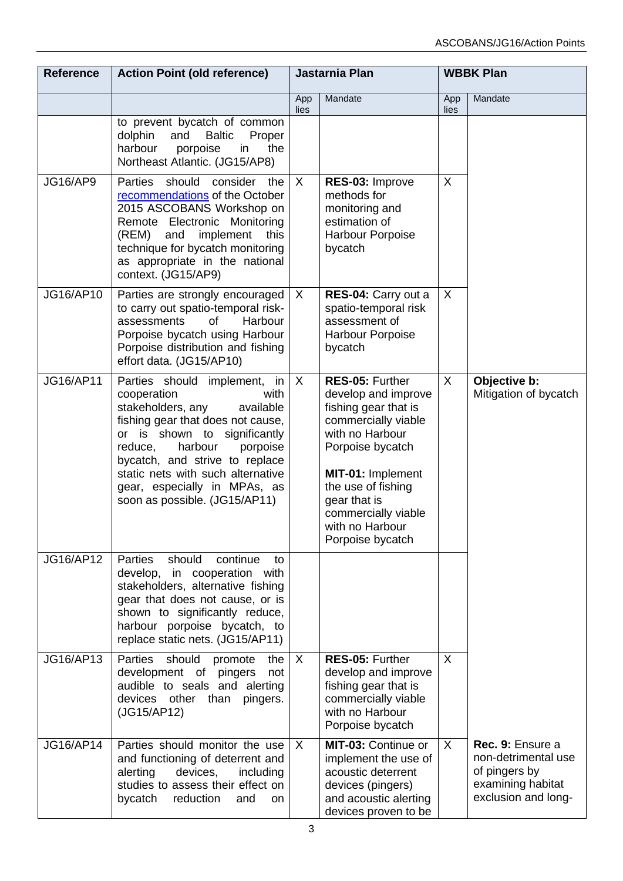| <b>Reference</b> | <b>Action Point (old reference)</b>                                                                                                                                                                                                                                                                                                  | Jastarnia Plan            |                                                                                                                                                                                                                                                       | <b>WBBK Plan</b> |                                                                                                      |
|------------------|--------------------------------------------------------------------------------------------------------------------------------------------------------------------------------------------------------------------------------------------------------------------------------------------------------------------------------------|---------------------------|-------------------------------------------------------------------------------------------------------------------------------------------------------------------------------------------------------------------------------------------------------|------------------|------------------------------------------------------------------------------------------------------|
|                  |                                                                                                                                                                                                                                                                                                                                      | App<br>lies               | Mandate                                                                                                                                                                                                                                               | App<br>lies      | Mandate                                                                                              |
|                  | to prevent bycatch of common<br>dolphin<br>and<br><b>Baltic</b><br>Proper<br>harbour<br>porpoise<br>in<br>the<br>Northeast Atlantic. (JG15/AP8)                                                                                                                                                                                      |                           |                                                                                                                                                                                                                                                       |                  |                                                                                                      |
| <b>JG16/AP9</b>  | Parties<br>should<br>consider<br>the<br>recommendations of the October<br>2015 ASCOBANS Workshop on<br>Remote Electronic Monitoring<br>(REM)<br>and<br>implement<br>this<br>technique for bycatch monitoring<br>as appropriate in the national<br>context. (JG15/AP9)                                                                | $\sf X$                   | RES-03: Improve<br>methods for<br>monitoring and<br>estimation of<br>Harbour Porpoise<br>bycatch                                                                                                                                                      | X                |                                                                                                      |
| JG16/AP10        | Parties are strongly encouraged<br>to carry out spatio-temporal risk-<br>assessments<br>Harbour<br>of<br>Porpoise bycatch using Harbour<br>Porpoise distribution and fishing<br>effort data. (JG15/AP10)                                                                                                                             | $\boldsymbol{\mathsf{X}}$ | RES-04: Carry out a<br>spatio-temporal risk<br>assessment of<br>Harbour Porpoise<br>bycatch                                                                                                                                                           | X                |                                                                                                      |
| <b>JG16/AP11</b> | Parties should implement, in<br>cooperation<br>with<br>stakeholders, any<br>available<br>fishing gear that does not cause,<br>or is shown to significantly<br>harbour<br>reduce,<br>porpoise<br>bycatch, and strive to replace<br>static nets with such alternative<br>gear, especially in MPAs, as<br>soon as possible. (JG15/AP11) | $\mathsf{X}$              | RES-05: Further<br>develop and improve<br>fishing gear that is<br>commercially viable<br>with no Harbour<br>Porpoise bycatch<br>MIT-01: Implement<br>the use of fishing<br>gear that is<br>commercially viable<br>with no Harbour<br>Porpoise bycatch | $\mathsf{X}$     | Objective b:<br>Mitigation of bycatch                                                                |
| JG16/AP12        | Parties<br>should<br>continue<br>to<br>develop, in cooperation with<br>stakeholders, alternative fishing<br>gear that does not cause, or is<br>shown to significantly reduce,<br>harbour porpoise bycatch, to<br>replace static nets. (JG15/AP11)                                                                                    |                           |                                                                                                                                                                                                                                                       |                  |                                                                                                      |
| JG16/AP13        | Parties<br>should<br>promote<br>the<br>development of<br>pingers<br>not<br>audible to seals and alerting<br>devices other<br>than<br>pingers.<br>(JG15/AP12)                                                                                                                                                                         | $\mathsf{X}$              | RES-05: Further<br>develop and improve<br>fishing gear that is<br>commercially viable<br>with no Harbour<br>Porpoise bycatch                                                                                                                          | $\mathsf{X}$     |                                                                                                      |
| <b>JG16/AP14</b> | Parties should monitor the use<br>and functioning of deterrent and<br>alerting<br>devices,<br>including<br>studies to assess their effect on<br>bycatch<br>reduction<br>and<br>on                                                                                                                                                    | $\sf X$                   | MIT-03: Continue or<br>implement the use of<br>acoustic deterrent<br>devices (pingers)<br>and acoustic alerting<br>devices proven to be                                                                                                               | $\mathsf{X}$     | Rec. 9: Ensure a<br>non-detrimental use<br>of pingers by<br>examining habitat<br>exclusion and long- |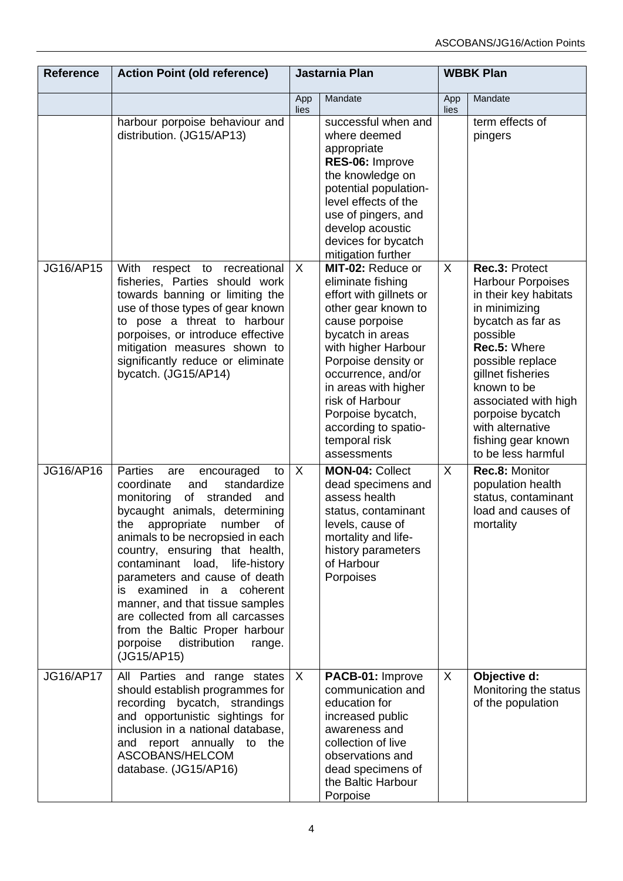| <b>Reference</b> | <b>Action Point (old reference)</b>                                                                                                                                                                                                                                                                                                                                                                                                                                                                                             | Jastarnia Plan            |                                                                                                                                                                                                                                                                                                                            | <b>WBBK Plan</b> |                                                                                                                                                                                                                                                                                                           |
|------------------|---------------------------------------------------------------------------------------------------------------------------------------------------------------------------------------------------------------------------------------------------------------------------------------------------------------------------------------------------------------------------------------------------------------------------------------------------------------------------------------------------------------------------------|---------------------------|----------------------------------------------------------------------------------------------------------------------------------------------------------------------------------------------------------------------------------------------------------------------------------------------------------------------------|------------------|-----------------------------------------------------------------------------------------------------------------------------------------------------------------------------------------------------------------------------------------------------------------------------------------------------------|
|                  |                                                                                                                                                                                                                                                                                                                                                                                                                                                                                                                                 | App<br>lies               | Mandate                                                                                                                                                                                                                                                                                                                    | App<br>lies      | Mandate                                                                                                                                                                                                                                                                                                   |
|                  | harbour porpoise behaviour and<br>distribution. (JG15/AP13)                                                                                                                                                                                                                                                                                                                                                                                                                                                                     |                           | successful when and<br>where deemed<br>appropriate<br>RES-06: Improve<br>the knowledge on<br>potential population-<br>level effects of the<br>use of pingers, and<br>develop acoustic<br>devices for bycatch<br>mitigation further                                                                                         |                  | term effects of<br>pingers                                                                                                                                                                                                                                                                                |
| <b>JG16/AP15</b> | With<br>respect to recreational<br>fisheries, Parties should work<br>towards banning or limiting the<br>use of those types of gear known<br>to pose a threat to harbour<br>porpoises, or introduce effective<br>mitigation measures shown to<br>significantly reduce or eliminate<br>bycatch. (JG15/AP14)                                                                                                                                                                                                                       | $\boldsymbol{\mathsf{X}}$ | MIT-02: Reduce or<br>eliminate fishing<br>effort with gillnets or<br>other gear known to<br>cause porpoise<br>bycatch in areas<br>with higher Harbour<br>Porpoise density or<br>occurrence, and/or<br>in areas with higher<br>risk of Harbour<br>Porpoise bycatch,<br>according to spatio-<br>temporal risk<br>assessments | $\sf X$          | Rec.3: Protect<br><b>Harbour Porpoises</b><br>in their key habitats<br>in minimizing<br>bycatch as far as<br>possible<br>Rec.5: Where<br>possible replace<br>gillnet fisheries<br>known to be<br>associated with high<br>porpoise bycatch<br>with alternative<br>fishing gear known<br>to be less harmful |
| JG16/AP16        | <b>Parties</b><br>encouraged<br>to<br>are<br>standardize<br>coordinate<br>and<br>of<br>stranded<br>monitoring<br>and<br>bycaught animals, determining<br>appropriate<br>number<br>of<br>the<br>animals to be necropsied in each<br>country, ensuring that health,<br>contaminant load, life-history<br>parameters and cause of death<br>is examined in a coherent<br>manner, and that tissue samples<br>are collected from all carcasses<br>from the Baltic Proper harbour<br>porpoise<br>distribution<br>range.<br>(JG15/AP15) | X                         | <b>MON-04: Collect</b><br>dead specimens and<br>assess health<br>status, contaminant<br>levels, cause of<br>mortality and life-<br>history parameters<br>of Harbour<br>Porpoises                                                                                                                                           | $\sf X$          | Rec.8: Monitor<br>population health<br>status, contaminant<br>load and causes of<br>mortality                                                                                                                                                                                                             |
| <b>JG16/AP17</b> | All Parties and range states<br>should establish programmes for<br>recording bycatch, strandings<br>and opportunistic sightings for<br>inclusion in a national database,<br>report annually to<br>and<br>the<br>ASCOBANS/HELCOM<br>database. (JG15/AP16)                                                                                                                                                                                                                                                                        | X                         | PACB-01: Improve<br>communication and<br>education for<br>increased public<br>awareness and<br>collection of live<br>observations and<br>dead specimens of<br>the Baltic Harbour<br>Porpoise                                                                                                                               | X                | Objective d:<br>Monitoring the status<br>of the population                                                                                                                                                                                                                                                |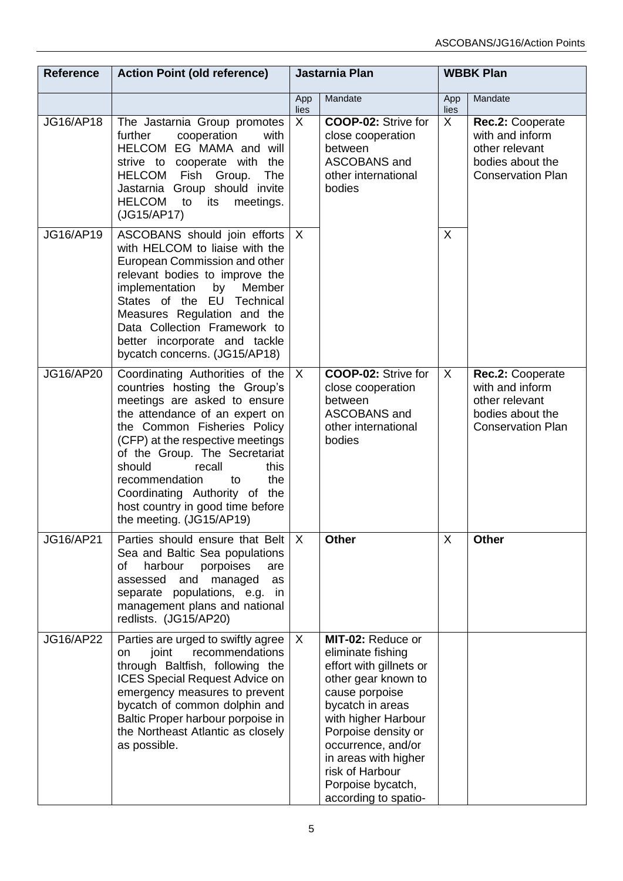| <b>Reference</b> | <b>Action Point (old reference)</b>                                                                                                                                                                                                                                                                                                                                                                | Jastarnia Plan |                                                                                                                                                                                                                                                                                            | <b>WBBK Plan</b> |                                                                                                       |
|------------------|----------------------------------------------------------------------------------------------------------------------------------------------------------------------------------------------------------------------------------------------------------------------------------------------------------------------------------------------------------------------------------------------------|----------------|--------------------------------------------------------------------------------------------------------------------------------------------------------------------------------------------------------------------------------------------------------------------------------------------|------------------|-------------------------------------------------------------------------------------------------------|
|                  |                                                                                                                                                                                                                                                                                                                                                                                                    | App<br>lies    | Mandate                                                                                                                                                                                                                                                                                    | App<br>lies      | Mandate                                                                                               |
| JG16/AP18        | The Jastarnia Group promotes<br>cooperation<br>further<br>with<br>HELCOM EG MAMA and will<br>strive to cooperate with the<br>Group.<br>HELCOM Fish<br><b>The</b><br>Jastarnia Group should invite<br><b>HELCOM</b><br>to<br>its<br>meetings.<br>(JG15/AP17)                                                                                                                                        | X              | <b>COOP-02: Strive for</b><br>close cooperation<br>between<br>ASCOBANS and<br>other international<br>bodies                                                                                                                                                                                | X                | Rec.2: Cooperate<br>with and inform<br>other relevant<br>bodies about the<br><b>Conservation Plan</b> |
| JG16/AP19        | ASCOBANS should join efforts<br>with HELCOM to liaise with the<br>European Commission and other<br>relevant bodies to improve the<br>implementation<br>by<br>Member<br>States of the EU Technical<br>Measures Regulation and the<br>Data Collection Framework to<br>better incorporate and tackle<br>bycatch concerns. (JG15/AP18)                                                                 | $\mathsf{X}$   |                                                                                                                                                                                                                                                                                            | X                |                                                                                                       |
| JG16/AP20        | Coordinating Authorities of the<br>countries hosting the Group's<br>meetings are asked to ensure<br>the attendance of an expert on<br>the Common Fisheries Policy<br>(CFP) at the respective meetings<br>of the Group. The Secretariat<br>should<br>this<br>recall<br>the<br>recommendation<br>to<br>Coordinating Authority of the<br>host country in good time before<br>the meeting. (JG15/AP19) | $\mathsf{X}$   | <b>COOP-02: Strive for</b><br>close cooperation<br>between<br>ASCOBANS and<br>other international<br>bodies                                                                                                                                                                                | $\mathsf{X}$     | Rec.2: Cooperate<br>with and inform<br>other relevant<br>bodies about the<br><b>Conservation Plan</b> |
| <b>JG16/AP21</b> | Parties should ensure that Belt<br>Sea and Baltic Sea populations<br>harbour<br>porpoises<br>οf<br>are<br>assessed<br>and<br>managed<br>as<br>separate populations, e.g. in<br>management plans and national<br>redlists. (JG15/AP20)                                                                                                                                                              | $\times$       | <b>Other</b>                                                                                                                                                                                                                                                                               | X                | <b>Other</b>                                                                                          |
| <b>JG16/AP22</b> | Parties are urged to swiftly agree<br>joint<br>recommendations<br>on<br>through Baltfish, following the<br><b>ICES Special Request Advice on</b><br>emergency measures to prevent<br>bycatch of common dolphin and<br>Baltic Proper harbour porpoise in<br>the Northeast Atlantic as closely<br>as possible.                                                                                       | X              | MIT-02: Reduce or<br>eliminate fishing<br>effort with gillnets or<br>other gear known to<br>cause porpoise<br>bycatch in areas<br>with higher Harbour<br>Porpoise density or<br>occurrence, and/or<br>in areas with higher<br>risk of Harbour<br>Porpoise bycatch,<br>according to spatio- |                  |                                                                                                       |